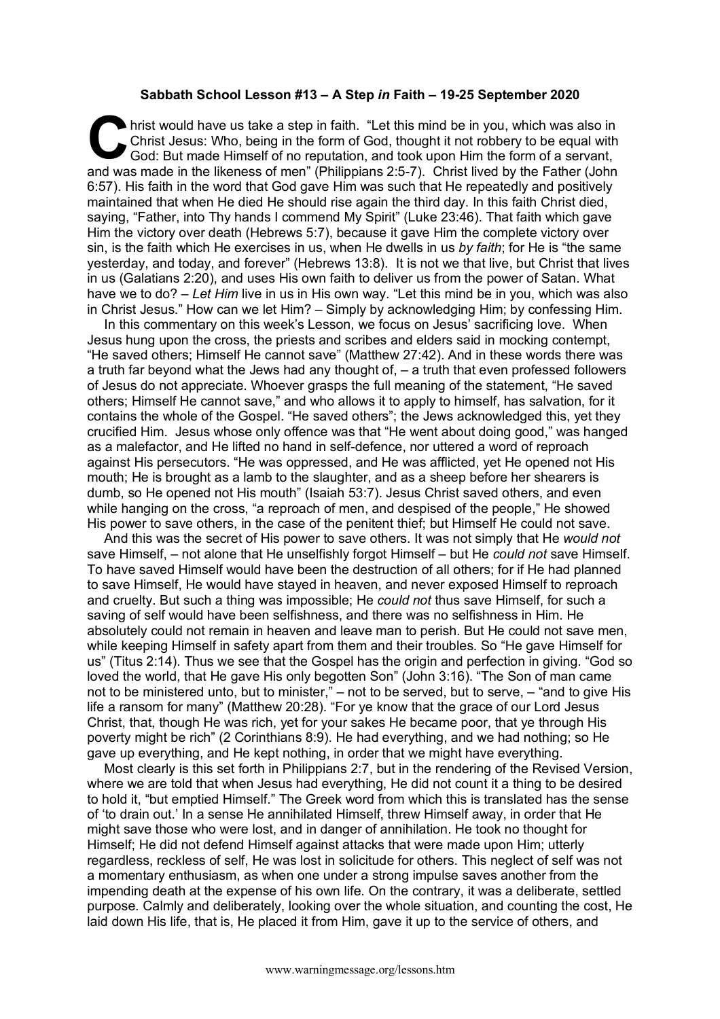## **Sabbath School Lesson #13 – A Step** *in* **Faith – 19-25 September 2020**

hrist would have us take a step in faith. "Let this mind be in you, which was also in Christ Jesus: Who, being in the form of God, thought it not robbery to be equal with God: But made Himself of no reputation, and took upon Him the form of a servant, and was made in the likeness of men" (Philippians 2:5-7). Christ lived by the Father (John and was made in the likeness of men" (Philippians 2:5-7). Christ lived by the Father (John and was made in the likeness of men" (Ph 6:57). His faith in the word that God gave Him was such that He repeatedly and positively maintained that when He died He should rise again the third day. In this faith Christ died, saying, "Father, into Thy hands I commend My Spirit" (Luke 23:46). That faith which gave Him the victory over death (Hebrews 5:7), because it gave Him the complete victory over sin, is the faith which He exercises in us, when He dwells in us *by faith*; for He is "the same yesterday, and today, and forever" (Hebrews 13:8). It is not we that live, but Christ that lives in us (Galatians 2:20), and uses His own faith to deliver us from the power of Satan. What have we to do? – *Let Him* live in us in His own way. "Let this mind be in you, which was also in Christ Jesus." How can we let Him? – Simply by acknowledging Him; by confessing Him.

In this commentary on this week's Lesson, we focus on Jesus' sacrificing love. When Jesus hung upon the cross, the priests and scribes and elders said in mocking contempt, "He saved others; Himself He cannot save" (Matthew 27:42). And in these words there was a truth far beyond what the Jews had any thought of, – a truth that even professed followers of Jesus do not appreciate. Whoever grasps the full meaning of the statement, "He saved others; Himself He cannot save," and who allows it to apply to himself, has salvation, for it contains the whole of the Gospel. "He saved others"; the Jews acknowledged this, yet they crucified Him. Jesus whose only offence was that "He went about doing good," was hanged as a malefactor, and He lifted no hand in self-defence, nor uttered a word of reproach against His persecutors. "He was oppressed, and He was afflicted, yet He opened not His mouth; He is brought as a lamb to the slaughter, and as a sheep before her shearers is dumb, so He opened not His mouth" (Isaiah 53:7). Jesus Christ saved others, and even while hanging on the cross, "a reproach of men, and despised of the people," He showed His power to save others, in the case of the penitent thief; but Himself He could not save.

And this was the secret of His power to save others. It was not simply that He *would not*  save Himself, – not alone that He unselfishly forgot Himself – but He *could not* save Himself. To have saved Himself would have been the destruction of all others; for if He had planned to save Himself, He would have stayed in heaven, and never exposed Himself to reproach and cruelty. But such a thing was impossible; He *could not* thus save Himself, for such a saving of self would have been selfishness, and there was no selfishness in Him. He absolutely could not remain in heaven and leave man to perish. But He could not save men, while keeping Himself in safety apart from them and their troubles. So "He gave Himself for us" (Titus 2:14). Thus we see that the Gospel has the origin and perfection in giving. "God so loved the world, that He gave His only begotten Son" (John 3:16). "The Son of man came not to be ministered unto, but to minister," – not to be served, but to serve, – "and to give His life a ransom for many" (Matthew 20:28). "For ye know that the grace of our Lord Jesus Christ, that, though He was rich, yet for your sakes He became poor, that ye through His poverty might be rich" (2 Corinthians 8:9). He had everything, and we had nothing; so He gave up everything, and He kept nothing, in order that we might have everything.

Most clearly is this set forth in Philippians 2:7, but in the rendering of the Revised Version, where we are told that when Jesus had everything, He did not count it a thing to be desired to hold it, "but emptied Himself." The Greek word from which this is translated has the sense of 'to drain out.' In a sense He annihilated Himself, threw Himself away, in order that He might save those who were lost, and in danger of annihilation. He took no thought for Himself; He did not defend Himself against attacks that were made upon Him; utterly regardless, reckless of self, He was lost in solicitude for others. This neglect of self was not a momentary enthusiasm, as when one under a strong impulse saves another from the impending death at the expense of his own life. On the contrary, it was a deliberate, settled purpose. Calmly and deliberately, looking over the whole situation, and counting the cost, He laid down His life, that is, He placed it from Him, gave it up to the service of others, and